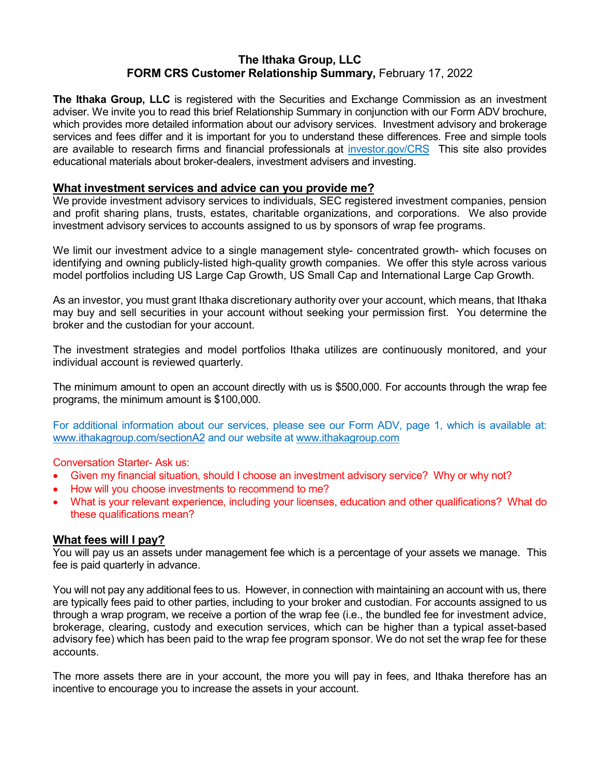# **The Ithaka Group, LLC FORM CRS Customer Relationship Summary,** February 17, 2022

**The Ithaka Group, LLC** is registered with the Securities and Exchange Commission as an investment adviser. We invite you to read this brief Relationship Summary in conjunction with our Form ADV brochure, which provides more detailed information about our advisory services. Investment advisory and brokerage services and fees differ and it is important for you to understand these differences. Free and simple tools are available to research firms and financial professionals at *investor.gov/CRS* This site also provides educational materials about broker-dealers, investment advisers and investing.

## **What investment services and advice can you provide me?**

We provide investment advisory services to individuals, SEC registered investment companies, pension and profit sharing plans, trusts, estates, charitable organizations, and corporations. We also provide investment advisory services to accounts assigned to us by sponsors of wrap fee programs.

We limit our investment advice to a single management style- concentrated growth- which focuses on identifying and owning publicly-listed high-quality growth companies. We offer this style across various model portfolios including US Large Cap Growth, US Small Cap and International Large Cap Growth.

As an investor, you must grant Ithaka discretionary authority over your account, which means, that Ithaka may buy and sell securities in your account without seeking your permission first. You determine the broker and the custodian for your account.

The investment strategies and model portfolios Ithaka utilizes are continuously monitored, and your individual account is reviewed quarterly.

The minimum amount to open an account directly with us is \$500,000. For accounts through the wrap fee programs, the minimum amount is \$100,000.

For additional information about our services, please see our Form ADV, page 1, which is available at: [www.ithakagroup.com/sectionA2](www.ithakagroup.com/sectiona2) and our website at www.ithakagroup.com

Conversation Starter- Ask us:

- Given my financial situation, should I choose an investment advisory service? Why or why not?
- How will you choose investments to recommend to me?
- What is your relevant experience, including your licenses, education and other qualifications? What do these qualifications mean?

### **What fees will I pay?**

You will pay us an assets under management fee which is a percentage of your assets we manage. This fee is paid quarterly in advance.

You will not pay any additional fees to us. However, in connection with maintaining an account with us, there are typically fees paid to other parties, including to your broker and custodian. For accounts assigned to us through a wrap program, we receive a portion of the wrap fee (i.e., the bundled fee for investment advice, brokerage, clearing, custody and execution services, which can be higher than a typical asset-based advisory fee) which has been paid to the wrap fee program sponsor. We do not set the wrap fee for these accounts.

The more assets there are in your account, the more you will pay in fees, and Ithaka therefore has an incentive to encourage you to increase the assets in your account.